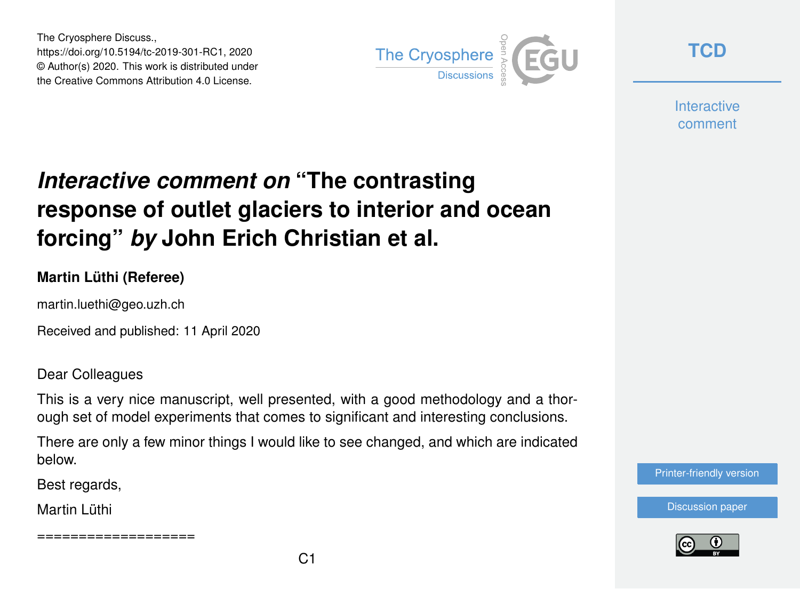The Cryosphere Discuss., https://doi.org/10.5194/tc-2019-301-RC1, 2020 © Author(s) 2020. This work is distributed under the Creative Commons Attribution 4.0 License.



**[TCD](https://www.the-cryosphere-discuss.net/)**

**Interactive** comment

## *Interactive comment on* **"The contrasting response of outlet glaciers to interior and ocean forcing"** *by* **John Erich Christian et al.**

## **Martin Lüthi (Referee)**

martin.luethi@geo.uzh.ch

Received and published: 11 April 2020

Dear Colleagues

This is a very nice manuscript, well presented, with a good methodology and a thorough set of model experiments that comes to significant and interesting conclusions.

There are only a few minor things I would like to see changed, and which are indicated below.

Best regards,

Martin Lüthi

==================



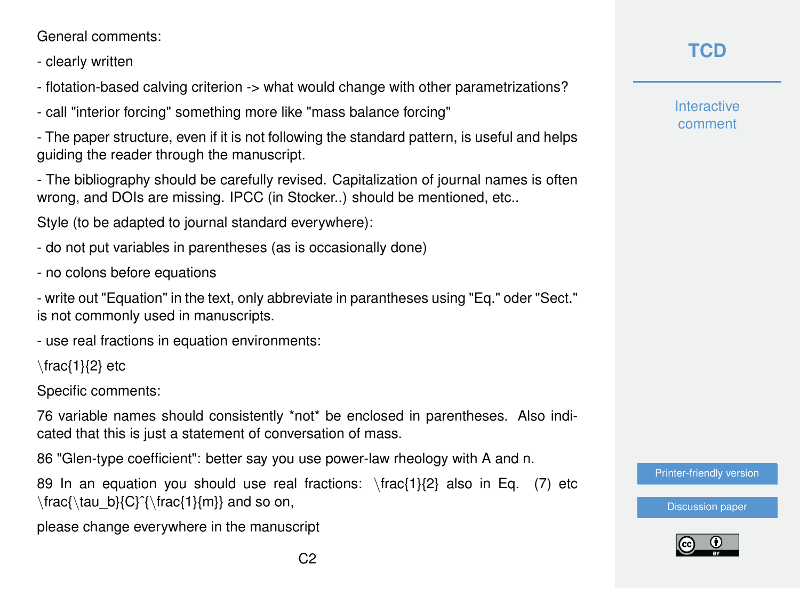General comments:

- clearly written
- flotation-based calving criterion -> what would change with other parametrizations?
- call "interior forcing" something more like "mass balance forcing"

- The paper structure, even if it is not following the standard pattern, is useful and helps guiding the reader through the manuscript.

- The bibliography should be carefully revised. Capitalization of journal names is often wrong, and DOIs are missing. IPCC (in Stocker..) should be mentioned, etc..

Style (to be adapted to journal standard everywhere):

- do not put variables in parentheses (as is occasionally done)

- no colons before equations

- write out "Equation" in the text, only abbreviate in parantheses using "Eq." oder "Sect." is not commonly used in manuscripts.

- use real fractions in equation environments:

\frac{1}{2} etc

Specific comments:

76 variable names should consistently \*not\* be enclosed in parentheses. Also indicated that this is just a statement of conversation of mass.

86 "Glen-type coefficient": better say you use power-law rheology with A and n.

89 In an equation you should use real fractions:  $\frac{1}{2}$  also in Eq. (7) etc  $\frac{\tau_0}{C}^{frac{1}{m}}$  and so on,

please change everywhere in the manuscript

**Interactive** comment

[Printer-friendly version](https://www.the-cryosphere-discuss.net/tc-2019-301/tc-2019-301-RC1-print.pdf)



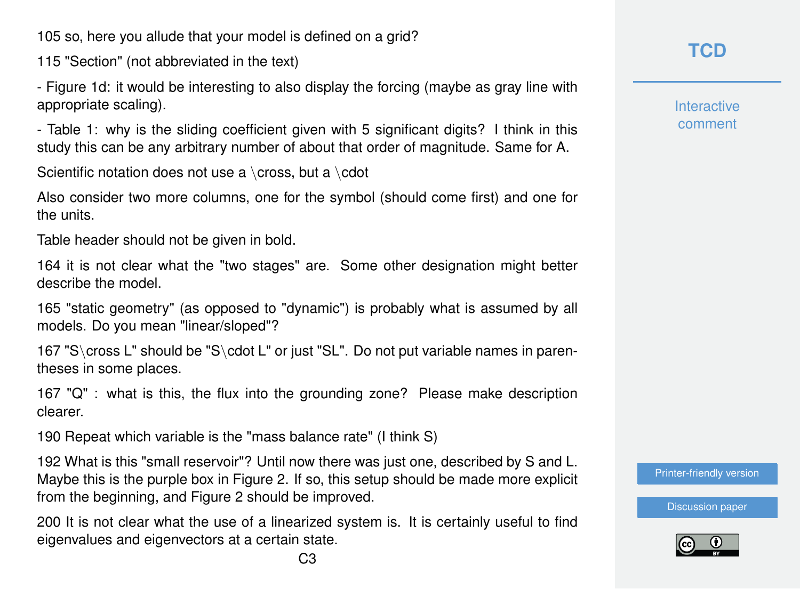105 so, here you allude that your model is defined on a grid?

115 "Section" (not abbreviated in the text)

- Figure 1d: it would be interesting to also display the forcing (maybe as gray line with appropriate scaling).

- Table 1: why is the sliding coefficient given with 5 significant digits? I think in this study this can be any arbitrary number of about that order of magnitude. Same for A.

Scientific notation does not use a \cross, but a \cdot

Also consider two more columns, one for the symbol (should come first) and one for the units.

Table header should not be given in bold.

164 it is not clear what the "two stages" are. Some other designation might better describe the model.

165 "static geometry" (as opposed to "dynamic") is probably what is assumed by all models. Do you mean "linear/sloped"?

167 "S\cross L" should be "S\cdot L" or just "SL". Do not put variable names in parentheses in some places.

167 "Q" : what is this, the flux into the grounding zone? Please make description clearer.

190 Repeat which variable is the "mass balance rate" (I think S)

192 What is this "small reservoir"? Until now there was just one, described by S and L. Maybe this is the purple box in Figure 2. If so, this setup should be made more explicit from the beginning, and Figure 2 should be improved.

200 It is not clear what the use of a linearized system is. It is certainly useful to find eigenvalues and eigenvectors at a certain state.

**Interactive** comment

[Printer-friendly version](https://www.the-cryosphere-discuss.net/tc-2019-301/tc-2019-301-RC1-print.pdf)

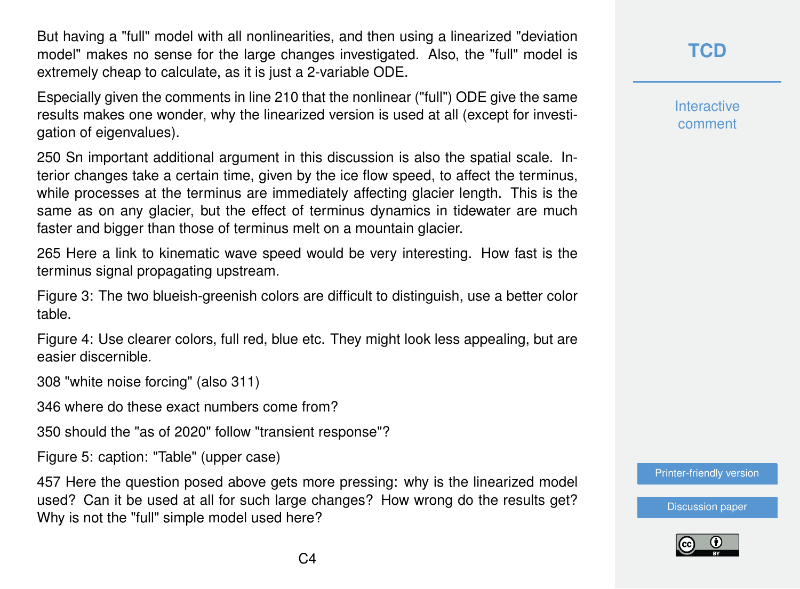But having a "full" model with all nonlinearities, and then using a linearized "deviation model" makes no sense for the large changes investigated. Also, the "full" model is extremely cheap to calculate, as it is just a 2-variable ODE.

Especially given the comments in line 210 that the nonlinear ("full") ODE give the same results makes one wonder, why the linearized version is used at all (except for investigation of eigenvalues).

250 Sn important additional argument in this discussion is also the spatial scale. Interior changes take a certain time, given by the ice flow speed, to affect the terminus, while processes at the terminus are immediately affecting glacier length. This is the same as on any glacier, but the effect of terminus dynamics in tidewater are much faster and bigger than those of terminus melt on a mountain glacier.

265 Here a link to kinematic wave speed would be very interesting. How fast is the terminus signal propagating upstream.

Figure 3: The two blueish-greenish colors are difficult to distinguish, use a better color table.

Figure 4: Use clearer colors, full red, blue etc. They might look less appealing, but are easier discernible.

308 "white noise forcing" (also 311)

346 where do these exact numbers come from?

350 should the "as of 2020" follow "transient response"?

Figure 5: caption: "Table" (upper case)

457 Here the question posed above gets more pressing: why is the linearized model used? Can it be used at all for such large changes? How wrong do the results get? Why is not the "full" simple model used here?

## **[TCD](https://www.the-cryosphere-discuss.net/)**

**Interactive** comment

[Printer-friendly version](https://www.the-cryosphere-discuss.net/tc-2019-301/tc-2019-301-RC1-print.pdf)